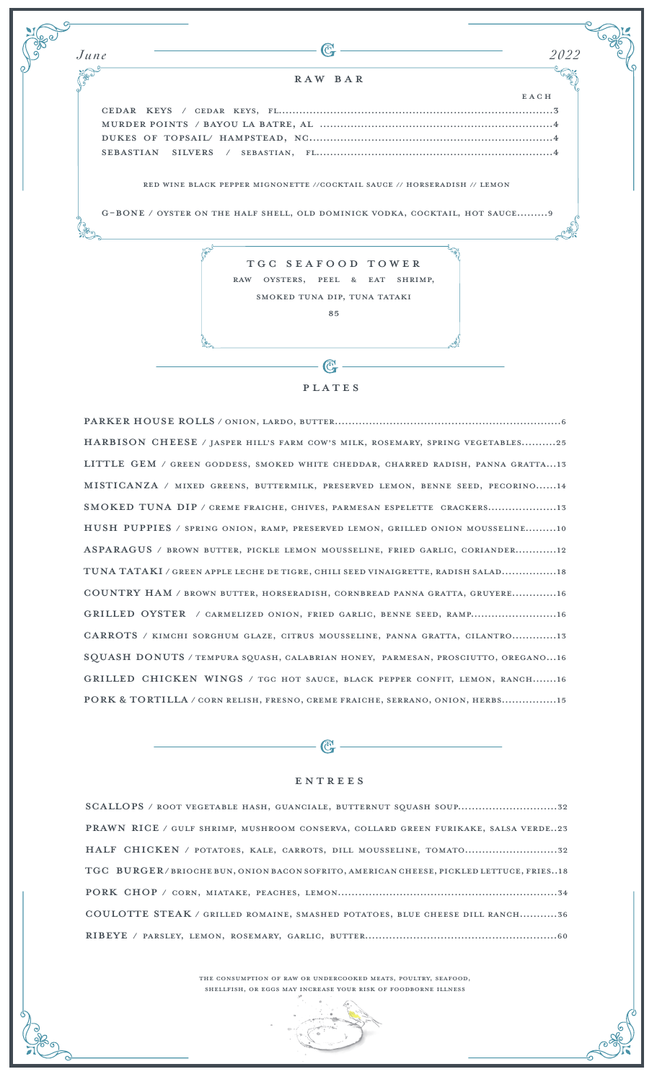Cedar keys / cedar keys, fl................................................................................3 Murder points / Bayou la batre, AL ....................................................................4 dukes of topsail/ hampstead, NC.......................................................................4 sebastian silvers / sebastian, FL.....................................................................4 g-bone / oyster on the half shell, old dominick vodka, cocktail, hot sauce.........9 **EACH** *June 2022* Raw bar red wine black pepper mignonette //cocktail sauce // horseradish // lemon TGC seafood tower raw oysters, peel & eat shrimp, smoked tuna dip, tuna tataki 85

**PLATES** 

 $\mathbb{C}_{\mathbf{r}}$ 

Parker House Rolls / onion, lardo, butter..................................................................6 Harbison cheese / jasper hill's farm cow's milk, Rosemary, spring vegetables..........25 little gem / green goddess, smoked white cheddar, charred radish, panna gratta...13 Misticanza / mixed greens, buttermilk, preserved lemon, benne seed, pecorino......14 Smoked Tuna Dip / creme fraiche, chives, parmesan espelette crackers....................13 Hush Puppies / spring onion, ramp, preserved lemon, grilled onion mousseline.........10 asparagus / brown butter, pickle lemon mousseline, fried garlic, coriander............12 Tuna Tataki / green apple leche de Tigre, chili seed vinaigrette, radish salad................18 Country Ham / brown butter, horseradish, cornbread panna gratta, gruyere.............16 grilled Oyster / carmelized onion, fried garlic, benne seed, ramp.........................16 Carrots / kimchi sorghum glaze, citrus mousseline, panna gratta, cilantro.............13 Squash Donuts / tempura squash, calabrian honey, parmesan, Prosciutto, oregano...16 grilled Chicken wings / TGC hot sauce, Black pepper confit, lemon, Ranch.......16 Pork & Tortilla / corn relish, fresno, creme fraiche, serrano, onion, herbs................15

## entrees

 $\mathbb{C}$  -

| SCALLOPS / ROOT VEGETABLE HASH, GUANCIALE, BUTTERNUT SQUASH SOUP32                     |
|----------------------------------------------------------------------------------------|
| PRAWN RICE / GULF SHRIMP, MUSHROOM CONSERVA, COLLARD GREEN FURIKAKE, SALSA VERDE23     |
| HALF CHICKEN / POTATOES, KALE, CARROTS, DILL MOUSSELINE, TOMATO32                      |
| TGC BURGER/BRIOCHE BUN, ONION BACON SOFRITO, AMERICAN CHEESE, PICKLED LETTUCE, FRIES18 |
|                                                                                        |
| COULOTTE STEAK / GRILLED ROMAINE, SMASHED POTATOES, BLUE CHEESE DILL RANCH36           |
|                                                                                        |

the consumption of raw or undercooked meats, poultry, seafood, shellfish, or eggs may increase your risk of foodborne illness